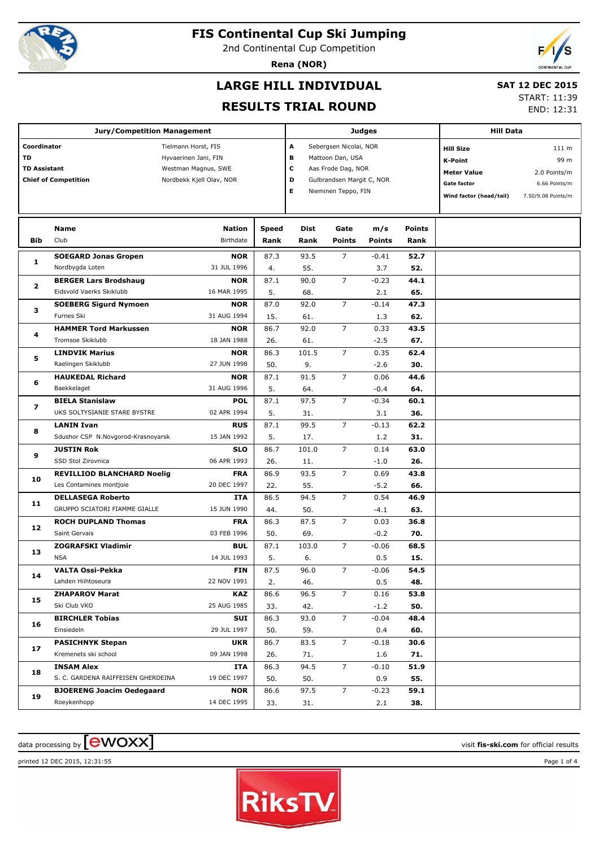

2nd Continental Cup Competition

**Rena (NOR)**



# **LARGE HILL INDIVIDUAL**

#### **SAT 12 DEC 2015**

**RESULTS TRIAL ROUND**

START: 11:39 END: 12:31

#### **Jury/Competition Management Coordinator** Tielmann Horst, FIS **TD** Hyvaerinen Jani, FIN **TD Assistant** Westman Magnus, SWE **Chief of Competition** Nordbekk Kiell Olav, NOR **Judges A** Sebergsen Nicolai, NOR **B** Mattoon Dan, USA **C** Aas Frode Dag, NOR **D** Gulbrandsen Margit C, NOR **E** Nieminen Teppo, FIN **Hill Data K-Point** 99 m **Hill Size** 111 m **Meter Value** 2.0 Points/m Gate factor 6.66 Points/m **Wind factor (head/tail)** 7.50/9.08 Points/m **Bib Name** Club Birthdate **Nation Speed Dist Rank Rank Gate Points m/s Points Points Rank SOEGARD Jonas Gropen** Nordbygda Loten **NOR** 31 JUL 1996 **1** 87.3 93.5 4. 55. 7 3.7 **52.7 52.** -0.41 **BERGER Lars Brodshaug** Eidsvold Vaerks Skiklubb **NOR** 16 MAR 1995 **2**  $87.1$  90.0 5. 68. 7 2.1 **44.1 65.**  $-0.23$ **SOEBERG Sigurd Nymoen** Furnes Ski **NOR** 31 AUG 1994 **3** 87.0 92.0 15. 61. 7 1.3 **47.3 62.**  $-0.14$ **HAMMER Tord Markussen** Tromsoe Skiklubb **NOR** 18 JAN 1988 **4** 86.7 92.0 26. 61. 7 -2.5 **43.5 67.** 0.33 **LINDVIK Marius** Raelingen Skiklubb **NOR** 27 JUN 1998 **5** 86.3 101.5 50. 9. 7 -2.6 **62.4 30.** 0.35 **HAUKEDAL Richard Baekkelaget NOR** 31 AUG 1996 **6**  $87.1$  91.5 5. 64. 7 -0.4 **44.6 64.**  $0.06$ **BIELA Stanislaw** UKS SOLTYSIANIE STARE BYSTRE **POL** 02 APR 1994 **7**  $87.1$  97.5 5. 31. 7 3.1 **60.1 36.**  $-0.34$ **LANIN Ivan** Sdushor CSP N.Novgorod-Krasnoyarsk **RUS** 15 JAN 1992 **8**  $87.1$  99.5 5. 17. 7 1.2 **62.2 31.**  $-0.13$ **JUSTIN Rok** SSD Stol Zirovnica **SLO** 06 APR 1993 **9** 86.7 101.0 26. 11. 7  $-1.0$ **63.0 26.**  $0.14$ **REVILLIOD BLANCHARD Noelig** Les Contamines montjoie **FRA** 20 DEC 1997 **10** 86.9 93.5 22. 55. 7 -5.2 **43.8 66.** 0.69 **DELLASEGA Roberto** GRUPPO SCIATORI FIAMME GIALLE **ITA** 15 JUN 1990 **11** 86.5 94.5 44. 50. 7  $-4.1$ **46.9 63.** 0.54 **ROCH DUPLAND Thomas** Saint Gervais **FRA** 03 FEB 1996 **12** 86.3 87.5 50. 69. 7 -0.2 **36.8 70.** 0.03 **ZOGRAFSKI Vladimir** NSA **BUL** 14 JUL 1993 **13** 87.1 103.0 5. 6. 7 0.5 **68.5 15.**  $-0.06$ **VALTA Ossi-Pekka** Lahden Hiihtoseura **FIN** 22 NOV 1991 **14** 87.5 96.0 2. 46. 7 0.5 **54.5 48.**  $-0.06$ **ZHAPAROV Marat** Ski Club VKO **KAZ** 25 AUG 1985 **15** 86.6 96.5 33. 42. 5 -1.2 **53.8 50.**  $0.16$ **BIRCHLER Tobias** Einsiedeln **SUI** 29 JUL 1997 **16** 86.3 93.0 50. 59. 7 0.4 **48.4 60.**  $-0.04$ **PASICHNYK Stepan** Kremenets ski school **UKR** 09 JAN 1998 **17** 86.7 83.5 26. 71.  $\overline{7}$  1.6 **30.6 71.**  $-0.18$ **INSAM Alex** S. C. GARDENA RAIFFEISEN GHERDEINA **ITA** 19 DEC 1997 **18** 86.3 94.5 50. 50. 7 0.9 **51.9 55.**  $-0.10$ **BJOERENG Joacim Oedegaard** Roeykenhopp **NOR** 14 DEC 1995 **19** 86.6 97.5 33. 31. 7 2.1 **59.1 38.**  $-0.23$

#### $\alpha$  data processing by  $\boxed{\text{ewOX}}$



printed 12 DEC 2015, 12:31:55 Page 1 of 4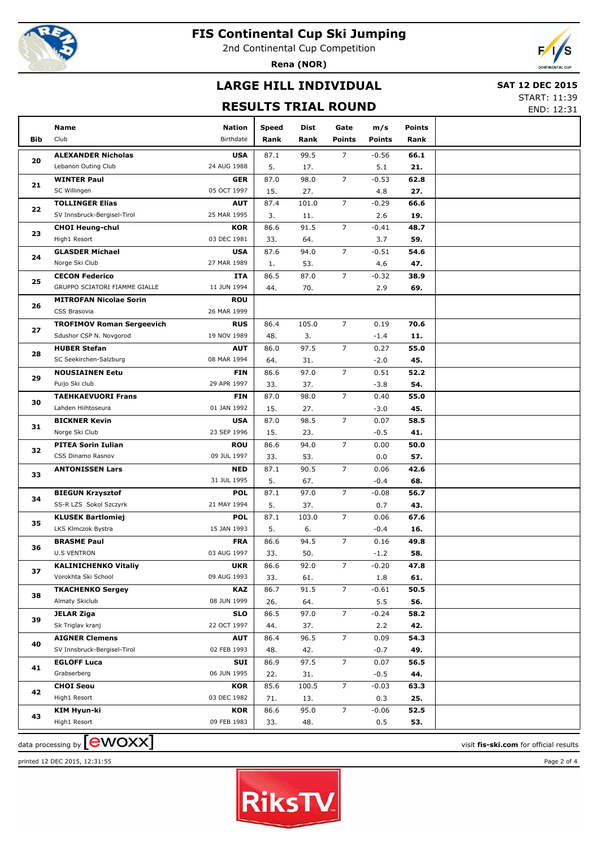

2nd Continental Cup Competition

**Rena (NOR)**



# **LARGE HILL INDIVIDUAL**

#### **SAT 12 DEC 2015**

#### **RESULTS TRIAL ROUND**

START: 11:39 END: 12:31

| Club<br>Birthdate<br><b>Points</b><br>Bib<br>Rank<br>Rank<br><b>Points</b><br>Rank<br>99.5<br>$\overline{7}$<br>$-0.56$<br><b>ALEXANDER Nicholas</b><br><b>USA</b><br>87.1<br>66.1<br>20<br>Lebanon Outing Club<br>24 AUG 1988<br>5.<br>5.1<br>21.<br>17.<br>$\overline{7}$<br>98.0<br>$-0.53$<br>62.8<br><b>WINTER Paul</b><br><b>GER</b><br>87.0<br>21<br>SC Willingen<br>05 OCT 1997<br>15.<br>27.<br>4.8<br>27.<br>101.0<br>$\overline{7}$<br>$-0.29$<br><b>TOLLINGER Elias</b><br><b>AUT</b><br>87.4<br>66.6<br>22<br>SV Innsbruck-Bergisel-Tirol<br>25 MAR 1995<br>3.<br>2.6<br>19.<br>11.<br>$\overline{7}$<br>91.5<br><b>CHOI Heung-chul</b><br>KOR<br>86.6<br>$-0.41$<br>48.7<br>23<br>High1 Resort<br>03 DEC 1981<br>33.<br>64.<br>3.7<br>59.<br>$\overline{7}$<br><b>GLASDER Michael</b><br><b>USA</b><br>87.6<br>94.0<br>$-0.51$<br>54.6<br>24<br>Norge Ski Club<br>27 MAR 1989<br>53.<br>4.6<br>47.<br>1. |  |
|------------------------------------------------------------------------------------------------------------------------------------------------------------------------------------------------------------------------------------------------------------------------------------------------------------------------------------------------------------------------------------------------------------------------------------------------------------------------------------------------------------------------------------------------------------------------------------------------------------------------------------------------------------------------------------------------------------------------------------------------------------------------------------------------------------------------------------------------------------------------------------------------------------------------|--|
|                                                                                                                                                                                                                                                                                                                                                                                                                                                                                                                                                                                                                                                                                                                                                                                                                                                                                                                        |  |
|                                                                                                                                                                                                                                                                                                                                                                                                                                                                                                                                                                                                                                                                                                                                                                                                                                                                                                                        |  |
|                                                                                                                                                                                                                                                                                                                                                                                                                                                                                                                                                                                                                                                                                                                                                                                                                                                                                                                        |  |
|                                                                                                                                                                                                                                                                                                                                                                                                                                                                                                                                                                                                                                                                                                                                                                                                                                                                                                                        |  |
|                                                                                                                                                                                                                                                                                                                                                                                                                                                                                                                                                                                                                                                                                                                                                                                                                                                                                                                        |  |
|                                                                                                                                                                                                                                                                                                                                                                                                                                                                                                                                                                                                                                                                                                                                                                                                                                                                                                                        |  |
|                                                                                                                                                                                                                                                                                                                                                                                                                                                                                                                                                                                                                                                                                                                                                                                                                                                                                                                        |  |
|                                                                                                                                                                                                                                                                                                                                                                                                                                                                                                                                                                                                                                                                                                                                                                                                                                                                                                                        |  |
|                                                                                                                                                                                                                                                                                                                                                                                                                                                                                                                                                                                                                                                                                                                                                                                                                                                                                                                        |  |
|                                                                                                                                                                                                                                                                                                                                                                                                                                                                                                                                                                                                                                                                                                                                                                                                                                                                                                                        |  |
|                                                                                                                                                                                                                                                                                                                                                                                                                                                                                                                                                                                                                                                                                                                                                                                                                                                                                                                        |  |
| $\overline{7}$<br>86.5<br>87.0<br><b>CECON Federico</b><br>$-0.32$<br>38.9<br>ITA                                                                                                                                                                                                                                                                                                                                                                                                                                                                                                                                                                                                                                                                                                                                                                                                                                      |  |
| 25<br>GRUPPO SCIATORI FIAMME GIALLE<br>11 JUN 1994<br>44.<br>70.<br>2.9<br>69.                                                                                                                                                                                                                                                                                                                                                                                                                                                                                                                                                                                                                                                                                                                                                                                                                                         |  |
| <b>ROU</b><br><b>MITROFAN Nicolae Sorin</b>                                                                                                                                                                                                                                                                                                                                                                                                                                                                                                                                                                                                                                                                                                                                                                                                                                                                            |  |
| 26<br>CSS Brasovia<br>26 MAR 1999                                                                                                                                                                                                                                                                                                                                                                                                                                                                                                                                                                                                                                                                                                                                                                                                                                                                                      |  |
| $\overline{7}$<br>105.0<br><b>TROFIMOV Roman Sergeevich</b><br><b>RUS</b><br>86.4<br>0.19<br>70.6                                                                                                                                                                                                                                                                                                                                                                                                                                                                                                                                                                                                                                                                                                                                                                                                                      |  |
| 27<br>19 NOV 1989<br>Sdushor CSP N. Novgorod<br>48.<br>3.<br>$-1.4$<br>11.                                                                                                                                                                                                                                                                                                                                                                                                                                                                                                                                                                                                                                                                                                                                                                                                                                             |  |
| 97.5<br>$\overline{7}$<br><b>HUBER Stefan</b><br><b>AUT</b><br>86.0<br>0.27<br>55.0                                                                                                                                                                                                                                                                                                                                                                                                                                                                                                                                                                                                                                                                                                                                                                                                                                    |  |
| 28<br>SC Seekirchen-Salzburg<br>08 MAR 1994<br>31.<br>$-2.0$<br>45.<br>64.                                                                                                                                                                                                                                                                                                                                                                                                                                                                                                                                                                                                                                                                                                                                                                                                                                             |  |
| $\overline{7}$<br>97.0<br><b>NOUSIAINEN Eetu</b><br>86.6<br>0.51<br>52.2<br><b>FIN</b>                                                                                                                                                                                                                                                                                                                                                                                                                                                                                                                                                                                                                                                                                                                                                                                                                                 |  |
| 29<br>Puijo Ski club<br>29 APR 1997<br>37.<br>$-3.8$<br>54.<br>33.                                                                                                                                                                                                                                                                                                                                                                                                                                                                                                                                                                                                                                                                                                                                                                                                                                                     |  |
| $\overline{7}$<br><b>TAEHKAEVUORI Frans</b><br>87.0<br>98.0<br>0.40<br>55.0<br><b>FIN</b><br>30                                                                                                                                                                                                                                                                                                                                                                                                                                                                                                                                                                                                                                                                                                                                                                                                                        |  |
| Lahden Hiihtoseura<br>01 JAN 1992<br>15.<br>27.<br>$-3.0$<br>45.                                                                                                                                                                                                                                                                                                                                                                                                                                                                                                                                                                                                                                                                                                                                                                                                                                                       |  |
| $\overline{7}$<br><b>BICKNER Kevin</b><br><b>USA</b><br>87.0<br>98.5<br>0.07<br>58.5<br>31                                                                                                                                                                                                                                                                                                                                                                                                                                                                                                                                                                                                                                                                                                                                                                                                                             |  |
| Norge Ski Club<br>23 SEP 1996<br>15.<br>23.<br>$-0.5$<br>41.                                                                                                                                                                                                                                                                                                                                                                                                                                                                                                                                                                                                                                                                                                                                                                                                                                                           |  |
| $\overline{7}$<br><b>PITEA Sorin Iulian</b><br><b>ROU</b><br>86.6<br>94.0<br>0.00<br>50.0<br>32                                                                                                                                                                                                                                                                                                                                                                                                                                                                                                                                                                                                                                                                                                                                                                                                                        |  |
| 09 JUL 1997<br>CSS Dinamo Rasnov<br>33.<br>53.<br>0.0<br>57.                                                                                                                                                                                                                                                                                                                                                                                                                                                                                                                                                                                                                                                                                                                                                                                                                                                           |  |
| $\overline{7}$<br><b>NED</b><br>87.1<br>90.5<br>0.06<br>42.6<br><b>ANTONISSEN Lars</b><br>33                                                                                                                                                                                                                                                                                                                                                                                                                                                                                                                                                                                                                                                                                                                                                                                                                           |  |
| 31 JUL 1995<br>5.<br>67.<br>$-0.4$<br>68.                                                                                                                                                                                                                                                                                                                                                                                                                                                                                                                                                                                                                                                                                                                                                                                                                                                                              |  |
| $\overline{7}$<br><b>BIEGUN Krzysztof</b><br><b>POL</b><br>87.1<br>97.0<br>$-0.08$<br>56.7<br>34                                                                                                                                                                                                                                                                                                                                                                                                                                                                                                                                                                                                                                                                                                                                                                                                                       |  |
| 21 MAY 1994<br>5.<br>SS-R LZS Sokol Szczyrk<br>37.<br>0.7<br>43.                                                                                                                                                                                                                                                                                                                                                                                                                                                                                                                                                                                                                                                                                                                                                                                                                                                       |  |
| 103.0<br>$\overline{7}$<br><b>KLUSEK Bartlomiej</b><br><b>POL</b><br>87.1<br>0.06<br>67.6<br>35                                                                                                                                                                                                                                                                                                                                                                                                                                                                                                                                                                                                                                                                                                                                                                                                                        |  |
| LKS Klmczok Bystra<br>15 JAN 1993<br>5.<br>6.<br>$-0.4$<br>16.                                                                                                                                                                                                                                                                                                                                                                                                                                                                                                                                                                                                                                                                                                                                                                                                                                                         |  |
| $\overline{7}$<br><b>BRASME Paul</b><br><b>FRA</b><br>86.6<br>94.5<br>0.16<br>49.8<br>36                                                                                                                                                                                                                                                                                                                                                                                                                                                                                                                                                                                                                                                                                                                                                                                                                               |  |
| <b>U.S VENTRON</b><br>03 AUG 1997<br>33.<br>50.<br>$-1.2$<br>58.                                                                                                                                                                                                                                                                                                                                                                                                                                                                                                                                                                                                                                                                                                                                                                                                                                                       |  |
| 86.6<br>92.0<br>$\overline{7}$<br><b>KALINICHENKO Vitaliy</b><br><b>UKR</b><br>$-0.20$<br>47.8<br>37                                                                                                                                                                                                                                                                                                                                                                                                                                                                                                                                                                                                                                                                                                                                                                                                                   |  |
| Vorokhta Ski School<br>09 AUG 1993<br>1.8<br>61.<br>33.<br>61.                                                                                                                                                                                                                                                                                                                                                                                                                                                                                                                                                                                                                                                                                                                                                                                                                                                         |  |
| $\overline{7}$<br><b>KAZ</b><br>86.7<br>91.5<br>$-0.61$<br>50.5<br><b>TKACHENKO Sergey</b><br>38                                                                                                                                                                                                                                                                                                                                                                                                                                                                                                                                                                                                                                                                                                                                                                                                                       |  |
| 08 JUN 1999<br>Almaty Skiclub<br>5.5<br>26.<br>64.<br>56.                                                                                                                                                                                                                                                                                                                                                                                                                                                                                                                                                                                                                                                                                                                                                                                                                                                              |  |
| $\overline{7}$<br>86.5<br>97.0<br>$-0.24$<br>JELAR Ziga<br><b>SLO</b><br>58.2<br>39                                                                                                                                                                                                                                                                                                                                                                                                                                                                                                                                                                                                                                                                                                                                                                                                                                    |  |
| Sk Triglav kranj<br>22 OCT 1997<br>42.<br>44.<br>37.<br>2.2                                                                                                                                                                                                                                                                                                                                                                                                                                                                                                                                                                                                                                                                                                                                                                                                                                                            |  |
| $\overline{7}$<br>96.5<br>0.09<br>54.3<br><b>AIGNER Clemens</b><br><b>AUT</b><br>86.4<br>40                                                                                                                                                                                                                                                                                                                                                                                                                                                                                                                                                                                                                                                                                                                                                                                                                            |  |
| 02 FEB 1993<br>SV Innsbruck-Bergisel-Tirol<br>48.<br>42.<br>$-0.7$<br>49.                                                                                                                                                                                                                                                                                                                                                                                                                                                                                                                                                                                                                                                                                                                                                                                                                                              |  |
| $\overline{7}$<br>97.5<br><b>EGLOFF Luca</b><br>SUI<br>86.9<br>0.07<br>56.5<br>41                                                                                                                                                                                                                                                                                                                                                                                                                                                                                                                                                                                                                                                                                                                                                                                                                                      |  |
| 06 JUN 1995<br>Grabserberg<br>22.<br>31.<br>$-0.5$<br>44.                                                                                                                                                                                                                                                                                                                                                                                                                                                                                                                                                                                                                                                                                                                                                                                                                                                              |  |
| $\overline{7}$<br>85.6<br>100.5<br>$-0.03$<br><b>CHOI Seou</b><br>KOR<br>63.3<br>42                                                                                                                                                                                                                                                                                                                                                                                                                                                                                                                                                                                                                                                                                                                                                                                                                                    |  |
| 03 DEC 1982<br>High1 Resort<br>0.3<br>25.<br>71.<br>13.                                                                                                                                                                                                                                                                                                                                                                                                                                                                                                                                                                                                                                                                                                                                                                                                                                                                |  |
| $\overline{7}$<br>95.0<br>KIM Hyun-ki<br>KOR<br>86.6<br>$-0.06$<br>52.5<br>43                                                                                                                                                                                                                                                                                                                                                                                                                                                                                                                                                                                                                                                                                                                                                                                                                                          |  |
| High1 Resort<br>09 FEB 1983<br>0.5<br>53.<br>33.<br>48.                                                                                                                                                                                                                                                                                                                                                                                                                                                                                                                                                                                                                                                                                                                                                                                                                                                                |  |

data processing by **CWOXX** and  $\overline{A}$  and  $\overline{B}$  wisit **fis-ski.com** for official results

printed 12 DEC 2015, 12:31:55 Page 2 of 4

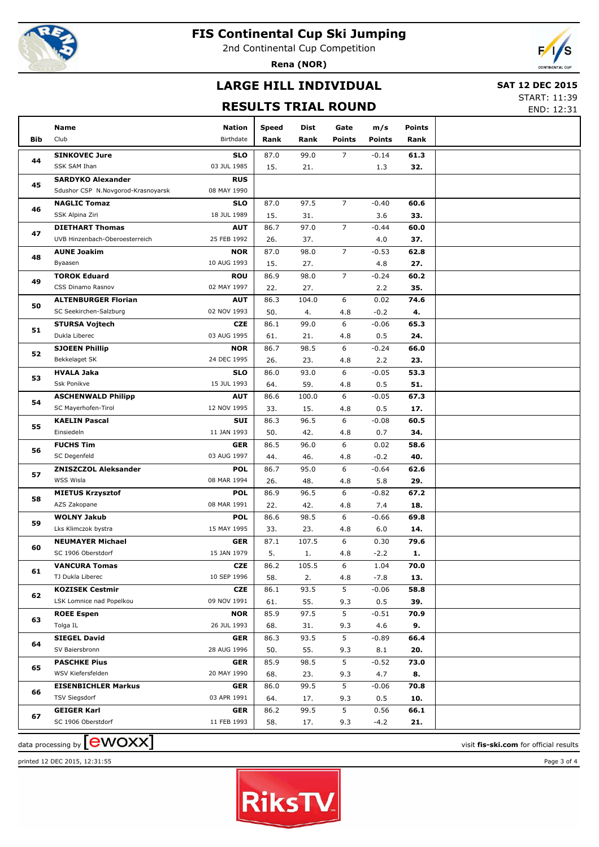

2nd Continental Cup Competition

**Rena (NOR)**



## **LARGE HILL INDIVIDUAL**

#### **SAT 12 DEC 2015**

#### **RESULTS TRIAL ROUND**

START: 11:39 END: 12:31

|            | Name                                     | <b>Nation</b>             | <b>Speed</b> | Dist        | Gate           | m/s            | <b>Points</b> |  |
|------------|------------------------------------------|---------------------------|--------------|-------------|----------------|----------------|---------------|--|
| <b>Bib</b> | Club                                     | Birthdate                 | Rank         | Rank        | <b>Points</b>  | <b>Points</b>  | Rank          |  |
|            | <b>SINKOVEC Jure</b>                     | <b>SLO</b>                | 87.0         | 99.0        | $\overline{7}$ | $-0.14$        | 61.3          |  |
| 44         | SSK SAM Ihan                             | 03 JUL 1985               | 15.          | 21.         |                | 1.3            | 32.           |  |
|            | <b>SARDYKO Alexander</b>                 | <b>RUS</b>                |              |             |                |                |               |  |
| 45         | Sdushor CSP N.Novgorod-Krasnoyarsk       | 08 MAY 1990               |              |             |                |                |               |  |
| 46         | <b>NAGLIC Tomaz</b>                      | <b>SLO</b>                | 87.0         | 97.5        | $\overline{7}$ | $-0.40$        | 60.6          |  |
|            | SSK Alpina Ziri                          | 18 JUL 1989               | 15.          | 31.         |                | 3.6            | 33.           |  |
| 47         | <b>DIETHART Thomas</b>                   | <b>AUT</b>                | 86.7         | 97.0        | $\overline{7}$ | $-0.44$        | 60.0          |  |
|            | UVB Hinzenbach-Oberoesterreich           | 25 FEB 1992               | 26.          | 37.         |                | 4.0            | 37.           |  |
| 48         | <b>AUNE Joakim</b>                       | <b>NOR</b>                | 87.0         | 98.0        | $\overline{7}$ | $-0.53$        | 62.8          |  |
|            | Byaasen                                  | 10 AUG 1993               | 15.          | 27.         |                | 4.8            | 27.           |  |
| 49         | <b>TOROK Eduard</b>                      | <b>ROU</b>                | 86.9         | 98.0        | $\overline{7}$ | $-0.24$        | 60.2          |  |
|            | CSS Dinamo Rasnov                        | 02 MAY 1997               | 22.          | 27.         |                | 2.2            | 35.           |  |
| 50         | <b>ALTENBURGER Florian</b>               | <b>AUT</b>                | 86.3         | 104.0       | 6              | 0.02           | 74.6          |  |
|            | SC Seekirchen-Salzburg                   | 02 NOV 1993               | 50.          | 4.          | 4.8            | $-0.2$         | 4.            |  |
| 51         | <b>STURSA Vojtech</b>                    | <b>CZE</b>                | 86.1         | 99.0        | 6              | $-0.06$        | 65.3          |  |
|            | Dukla Liberec                            | 03 AUG 1995               | 61.          | 21.         | 4.8            | 0.5            | 24.           |  |
| 52         | <b>SJOEEN Phillip</b>                    | <b>NOR</b>                | 86.7         | 98.5        | 6              | $-0.24$        | 66.0          |  |
|            | Bekkelaget SK                            | 24 DEC 1995               | 26.          | 23.         | 4.8            | 2.2            | 23.           |  |
| 53         | <b>HVALA Jaka</b>                        | <b>SLO</b>                | 86.0         | 93.0        | 6              | $-0.05$        | 53.3          |  |
|            | Ssk Ponikve                              | 15 JUL 1993               | 64.          | 59.         | 4.8            | 0.5            | 51.           |  |
| 54         | <b>ASCHENWALD Philipp</b>                | <b>AUT</b>                | 86.6         | 100.0       | 6              | $-0.05$        | 67.3          |  |
|            | SC Mayerhofen-Tirol                      | 12 NOV 1995               | 33.          | 15.         | 4.8            | 0.5            | 17.           |  |
| 55         | <b>KAELIN Pascal</b>                     | <b>SUI</b>                | 86.3         | 96.5        | 6              | $-0.08$        | 60.5          |  |
|            | Einsiedeln                               | 11 JAN 1993               | 50.          | 42.         | 4.8            | 0.7            | 34.           |  |
| 56         | <b>FUCHS Tim</b>                         | <b>GER</b>                | 86.5         | 96.0        | 6              | 0.02           | 58.6          |  |
|            | SC Degenfeld                             | 03 AUG 1997               | 44.          | 46.         | 4.8            | $-0.2$         | 40.           |  |
| 57         | <b>ZNISZCZOL Aleksander</b><br>WSS Wisla | <b>POL</b><br>08 MAR 1994 | 86.7         | 95.0        | 6              | $-0.64$        | 62.6          |  |
|            | <b>MIETUS Krzysztof</b>                  | <b>POL</b>                | 26.<br>86.9  | 48.<br>96.5 | 4.8<br>6       | 5.8<br>$-0.82$ | 29.<br>67.2   |  |
| 58         | AZS Zakopane                             | 08 MAR 1991               | 22.          | 42.         | 4.8            | 7.4            | 18.           |  |
|            | <b>WOLNY Jakub</b>                       | <b>POL</b>                | 86.6         | 98.5        | 6              | $-0.66$        | 69.8          |  |
| 59         | Lks Klimczok bystra                      | 15 MAY 1995               | 33.          | 23.         | 4.8            | 6.0            | 14.           |  |
|            | <b>NEUMAYER Michael</b>                  | <b>GER</b>                | 87.1         | 107.5       | 6              | 0.30           | 79.6          |  |
| 60         | SC 1906 Oberstdorf                       | 15 JAN 1979               | 5.           | 1.          | 4.8            | $-2.2$         | 1.            |  |
|            | <b>VANCURA Tomas</b>                     | <b>CZE</b>                | 86.2         | 105.5       | 6              | 1.04           | 70.0          |  |
| 61         | TJ Dukla Liberec                         | 10 SEP 1996               | 58.          | 2.          | 4.8            | $-7.8$         | 13.           |  |
|            | <b>KOZISEK Cestmir</b>                   | <b>CZE</b>                | 86.1         | 93.5        | 5              | $-0.06$        | 58.8          |  |
| 62         | LSK Lomnice nad Popelkou                 | 09 NOV 1991               | 61.          | 55.         | 9.3            | 0.5            | 39.           |  |
|            | <b>ROEE Espen</b>                        | <b>NOR</b>                | 85.9         | 97.5        | 5              | $-0.51$        | 70.9          |  |
| 63         | Tolga IL                                 | 26 JUL 1993               | 68.          | 31.         | 9.3            | 4.6            | 9.            |  |
|            | <b>SIEGEL David</b>                      | <b>GER</b>                | 86.3         | 93.5        | 5              | $-0.89$        | 66.4          |  |
| 64         | SV Baiersbronn                           | 28 AUG 1996               | 50.          | 55.         | 9.3            | 8.1            | 20.           |  |
|            | <b>PASCHKE Pius</b>                      | <b>GER</b>                | 85.9         | 98.5        | 5              | $-0.52$        | 73.0          |  |
| 65         | WSV Kiefersfelden                        | 20 MAY 1990               | 68.          | 23.         | 9.3            | 4.7            | 8.            |  |
|            | <b>EISENBICHLER Markus</b>               | <b>GER</b>                | 86.0         | 99.5        | 5              | $-0.06$        | 70.8          |  |
| 66         | TSV Siegsdorf                            | 03 APR 1991               | 64.          | 17.         | 9.3            | 0.5            | 10.           |  |
| 67         | <b>GEIGER Karl</b>                       | <b>GER</b>                | 86.2         | 99.5        | 5              | 0.56           | 66.1          |  |
|            | SC 1906 Oberstdorf                       | 11 FEB 1993               | 58.          | 17.         | 9.3            | -4.2           | 21.           |  |
|            |                                          |                           |              |             |                |                |               |  |

printed 12 DEC 2015, 12:31:55 Page 3 of 4



 $\frac{1}{2}$  data processing by  $\boxed{\text{ewOX}}$